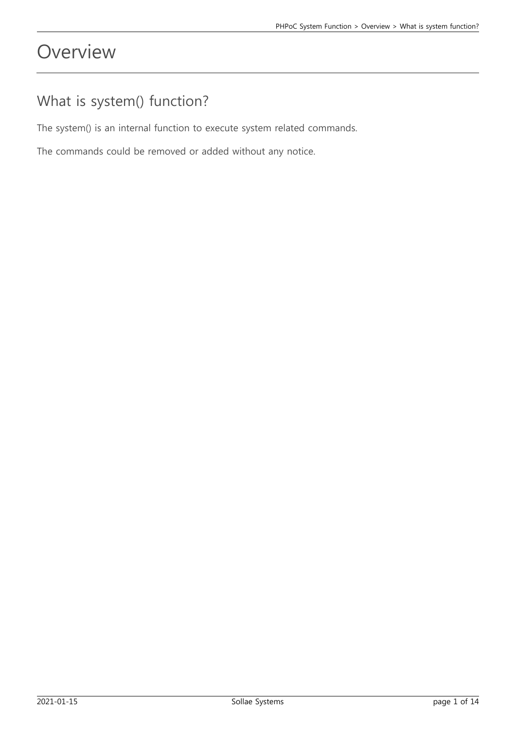# **Overview**

### What is system() function?

The system() is an internal function to execute system related commands.

The commands could be removed or added without any notice.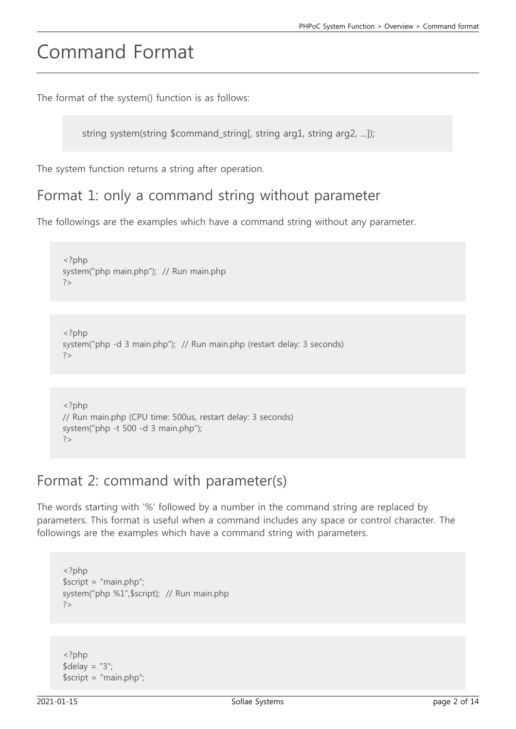# Command Format

The format of the system() function is as follows:

string system(string \$command\_string[, string arg1, string arg2, ...]);

The system function returns a string after operation.

### Format 1: only a command string without parameter

The followings are the examples which have a command string without any parameter.

```
<?php
system("php main.php"); // Run main.php
2<sub>></sub>
```

```
<?php
system("php -d 3 main.php"); // Run main.php (restart delay: 3 seconds)
?>
```

```
<?php
// Run main.php (CPU time: 500us, restart delay: 3 seconds)
system("php -t 500 -d 3 main.php");
?>
```
### Format 2: command with parameter(s)

The words starting with '%' followed by a number in the command string are replaced by parameters. This format is useful when a command includes any space or control character. The followings are the examples which have a command string with parameters.

```
<?php
$script = "main.php";
system("php %1",$script); // Run main.php
?
```
<?php  $\delta$ delay = "3"; \$script = "main.php";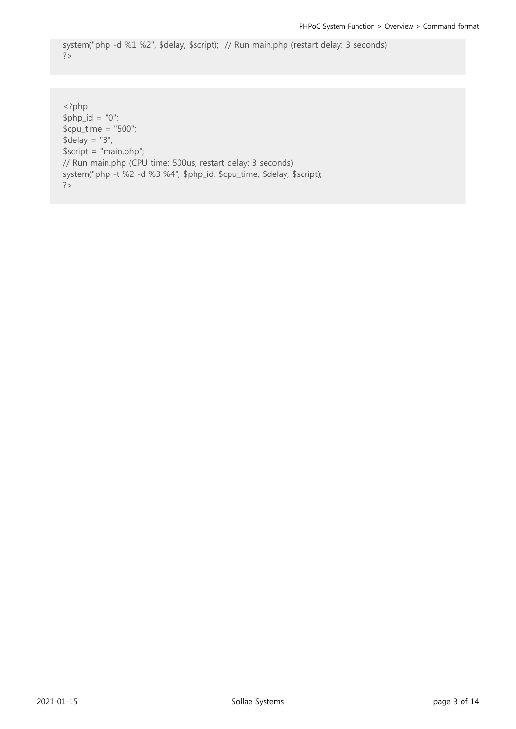```
system("php -d %1 %2", $delay, $script); // Run main.php (restart delay: 3 seconds)
?
```
<?php  $$php_id = "0";$  $$cpu_time = "500";$  $\delta$ delay = "3"; \$script = "main.php"; // Run main.php (CPU time: 500us, restart delay: 3 seconds) system("php -t %2 -d %3 %4", \$php\_id, \$cpu\_time, \$delay, \$script); ?>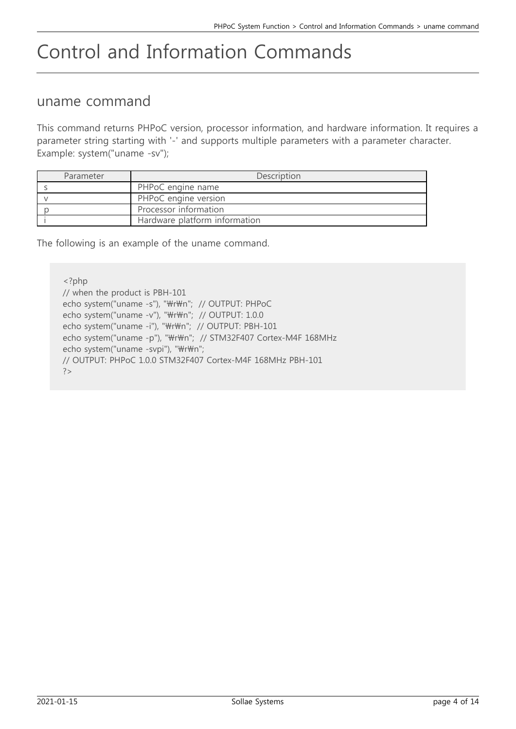# Control and Information Commands

### uname command

This command returns PHPoC version, processor information, and hardware information. It requires a parameter string starting with '-' and supports multiple parameters with a parameter character. Example: system("uname -sv");

| Parameter | Description                   |
|-----------|-------------------------------|
|           | PHPoC engine name             |
|           | PHPoC engine version          |
|           | Processor information         |
|           | Hardware platform information |

The following is an example of the uname command.

<?php // when the product is PBH-101 echo system("uname -s"), "\r\m"; // OUTPUT: PHPoC echo system("uname -v"), "\r\m"; // OUTPUT: 1.0.0 echo system("uname -i"), "\r\m"; // OUTPUT: PBH-101 echo system("uname -p"), "\r\m"; // STM32F407 Cortex-M4F 168MHz echo system("uname -svpi"), "\r\n"; // OUTPUT: PHPoC 1.0.0 STM32F407 Cortex-M4F 168MHz PBH-101 ?>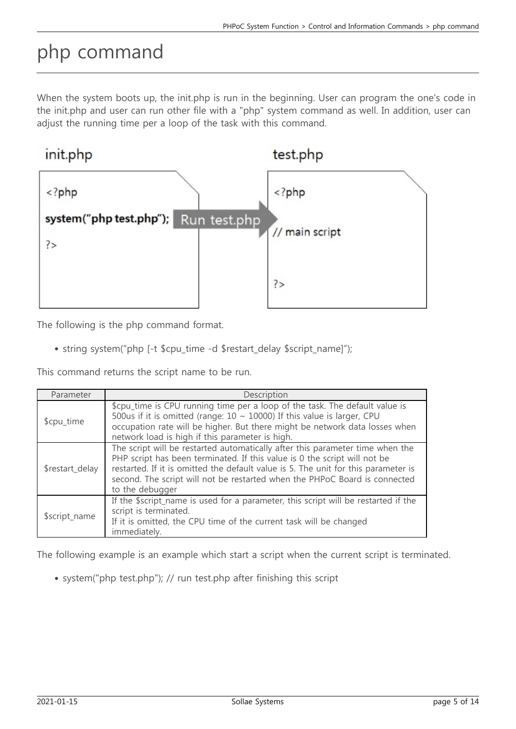# php command

When the system boots up, the init.php is run in the beginning. User can program the one's code in the init.php and user can run other file with a "php" system command as well. In addition, user can adjust the running time per a loop of the task with this command.



The following is the php command format.

• string system("php [-t \$cpu\_time -d \$restart\_delay \$script\_name]");

This command returns the script name to be run.

| Parameter       | Description                                                                                                                                                                                                                                                                                                                                       |
|-----------------|---------------------------------------------------------------------------------------------------------------------------------------------------------------------------------------------------------------------------------------------------------------------------------------------------------------------------------------------------|
| \$cpu_time      | \$cpu_time is CPU running time per a loop of the task. The default value is<br>500us if it is omitted (range: $10 \sim 10000$ ) If this value is larger, CPU<br>occupation rate will be higher. But there might be network data losses when<br>network load is high if this parameter is high.                                                    |
| \$restart_delay | The script will be restarted automatically after this parameter time when the<br>PHP script has been terminated. If this value is 0 the script will not be<br>restarted. If it is omitted the default value is 5. The unit for this parameter is<br>second. The script will not be restarted when the PHPoC Board is connected<br>to the debugger |
| \$script_name   | If the \$script_name is used for a parameter, this script will be restarted if the<br>script is terminated.<br>If it is omitted, the CPU time of the current task will be changed<br>immediately.                                                                                                                                                 |

The following example is an example which start a script when the current script is terminated.

system("php test.php"); // run test.php after finishing this script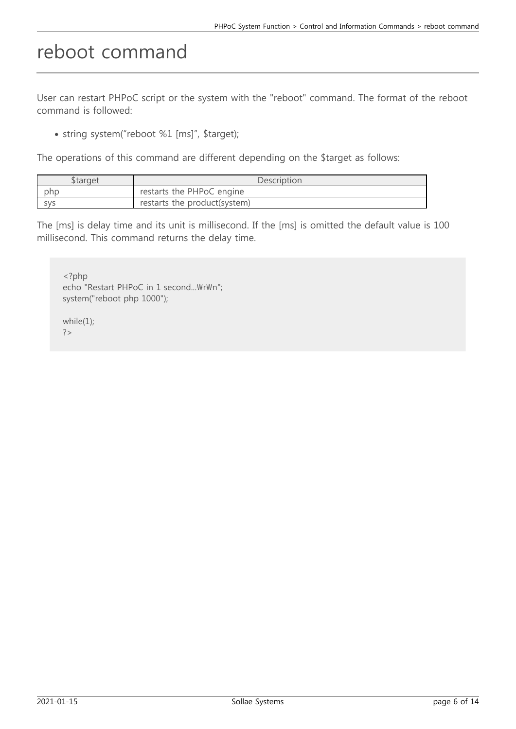# reboot command

User can restart PHPoC script or the system with the "reboot" command. The format of the reboot command is followed:

• string system("reboot %1 [ms]", \$target);

The operations of this command are different depending on the \$target as follows:

| <b>Starget</b> | <b>Description</b>           |
|----------------|------------------------------|
| php            | restarts the PHPoC engine    |
| SVS            | restarts the product(system) |

The [ms] is delay time and its unit is millisecond. If the [ms] is omitted the default value is 100 millisecond. This command returns the delay time.

<?php echo "Restart PHPoC in 1 second...\r\n"; system("reboot php 1000"); while(1); ?>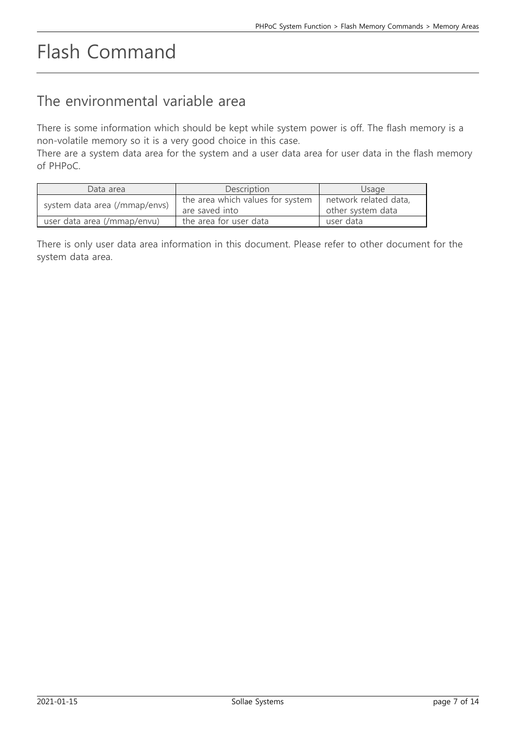# Flash Command

### The environmental variable area

There is some information which should be kept while system power is off. The flash memory is a non-volatile memory so it is a very good choice in this case.

There are a system data area for the system and a user data area for user data in the flash memory of PHPoC.

| Data area                     | Description                                        | Usage                                      |
|-------------------------------|----------------------------------------------------|--------------------------------------------|
| system data area (/mmap/envs) | the area which values for system<br>are saved into | network related data,<br>other system data |
| user data area (/mmap/envu)   | the area for user data                             | user data                                  |

There is only user data area information in this document. Please refer to other document for the system data area.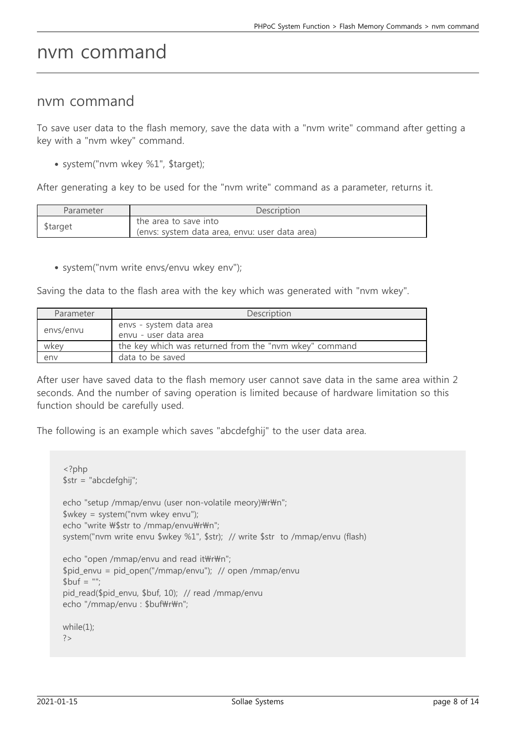### nvm command

#### nvm command

To save user data to the flash memory, save the data with a "nvm write" command after getting a key with a "nvm wkey" command.

system("nvm wkey %1", \$target);

After generating a key to be used for the "nvm write" command as a parameter, returns it.

| Parameter | Description                                                             |
|-----------|-------------------------------------------------------------------------|
| \$target  | the area to save into<br>(envs: system data area, envu: user data area) |

system("nvm write envs/envu wkey env");

Saving the data to the flash area with the key which was generated with "nvm wkey".

| Parameter | Description                                            |
|-----------|--------------------------------------------------------|
| envs/envu | envs - system data area<br>envu - user data area       |
| wkey      | the key which was returned from the "nym wkey" command |
| env       | data to be saved                                       |

After user have saved data to the flash memory user cannot save data in the same area within 2 seconds. And the number of saving operation is limited because of hardware limitation so this function should be carefully used.

The following is an example which saves "abcdefghij" to the user data area.

```
<?php
$str = "abcdefghij";
echo "setup /mmap/envu (user non-volatile meory)\r\m";
$wkey = system("nvm wkey envu");
echo "write \$$tr to /mmap/envu\r\n";
system("nvm write envu $wkey %1", $str); // write $str to /mmap/envu (flash)
echo "open /mmap/envu and read it\text{WrWn}";
$pid_envu = pid_open("/mmap/envu"); // open /mmap/envu
$but = "pid read($pid envu, $buf, 10); // read /mmap/envu
echo "/mmap/envu : $buf\r\n";
while(1);
?>
```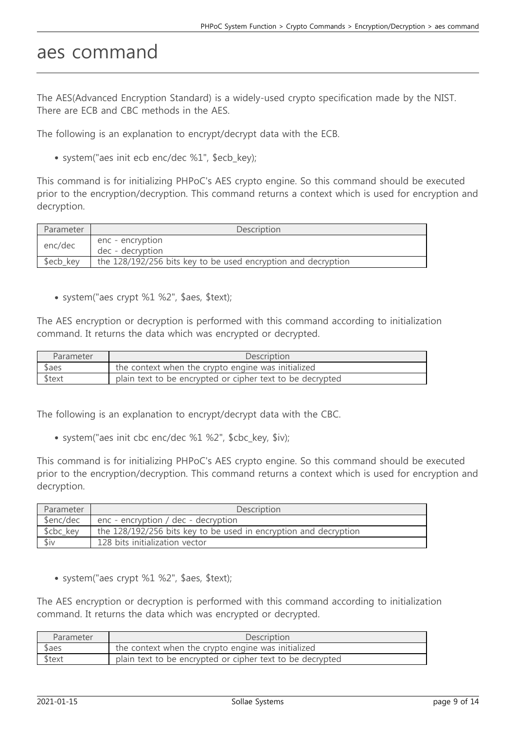### aes command

The AES(Advanced Encryption Standard) is a widely-used crypto specification made by the NIST. There are ECB and CBC methods in the AES.

The following is an explanation to encrypt/decrypt data with the ECB.

• system("aes init ecb enc/dec %1", \$ecb key);

This command is for initializing PHPoC's AES crypto engine. So this command should be executed prior to the encryption/decryption. This command returns a context which is used for encryption and decryption.

| Parameter | Description                                                   |
|-----------|---------------------------------------------------------------|
| enc/dec   | enc - encryption<br>dec - decryption                          |
| \$ecb key | the 128/192/256 bits key to be used encryption and decryption |

system("aes crypt %1 %2", \$aes, \$text);

The AES encryption or decryption is performed with this command according to initialization command. It returns the data which was encrypted or decrypted.

| Parameter | <b>Description</b>                                        |
|-----------|-----------------------------------------------------------|
| \$aes     | the context when the crypto engine was initialized        |
| \$text    | plain text to be encrypted or cipher text to be decrypted |

The following is an explanation to encrypt/decrypt data with the CBC.

system("aes init cbc enc/dec %1 %2", \$cbc\_key, \$iv);

This command is for initializing PHPoC's AES crypto engine. So this command should be executed prior to the encryption/decryption. This command returns a context which is used for encryption and decryption.

| Parameter | <b>Description</b>                                               |
|-----------|------------------------------------------------------------------|
| \$enc/dec | enc - encryption / dec - decryption                              |
| \$cbc_key | the 128/192/256 bits key to be used in encryption and decryption |
| \$iv      | 128 bits initialization vector                                   |

system("aes crypt %1 %2", \$aes, \$text);

The AES encryption or decryption is performed with this command according to initialization command. It returns the data which was encrypted or decrypted.

| Parameter | Description                                               |
|-----------|-----------------------------------------------------------|
| \$aes     | the context when the crypto engine was initialized        |
| \$text    | plain text to be encrypted or cipher text to be decrypted |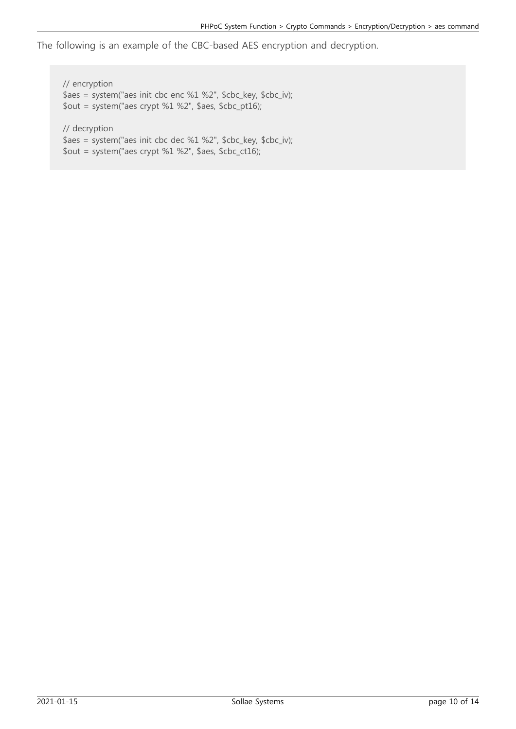The following is an example of the CBC-based AES encryption and decryption.

// encryption \$aes = system("aes init cbc enc %1 %2", \$cbc\_key, \$cbc\_iv); \$out = system("aes crypt %1 %2", \$aes, \$cbc\_pt16); // decryption \$aes = system("aes init cbc dec %1 %2", \$cbc\_key, \$cbc\_iv);

\$out = system("aes crypt %1 %2", \$aes, \$cbc\_ct16);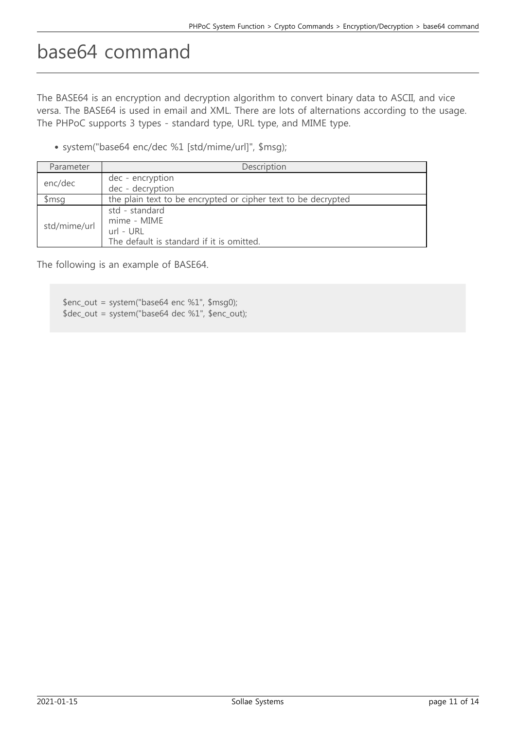# base64 command

The BASE64 is an encryption and decryption algorithm to convert binary data to ASCII, and vice versa. The BASE64 is used in email and XML. There are lots of alternations according to the usage. The PHPoC supports 3 types - standard type, URL type, and MIME type.

system("base64 enc/dec %1 [std/mime/url]", \$msg);

| Parameter    | Description                                                                             |
|--------------|-----------------------------------------------------------------------------------------|
| enc/dec      | dec - encryption<br>dec - decryption                                                    |
| \$msg        | the plain text to be encrypted or cipher text to be decrypted                           |
| std/mime/url | std - standard<br>mime - MIME<br>url - URL<br>The default is standard if it is omitted. |

The following is an example of BASE64.

\$enc\_out = system("base64 enc %1", \$msg0); \$dec\_out = system("base64 dec %1", \$enc\_out);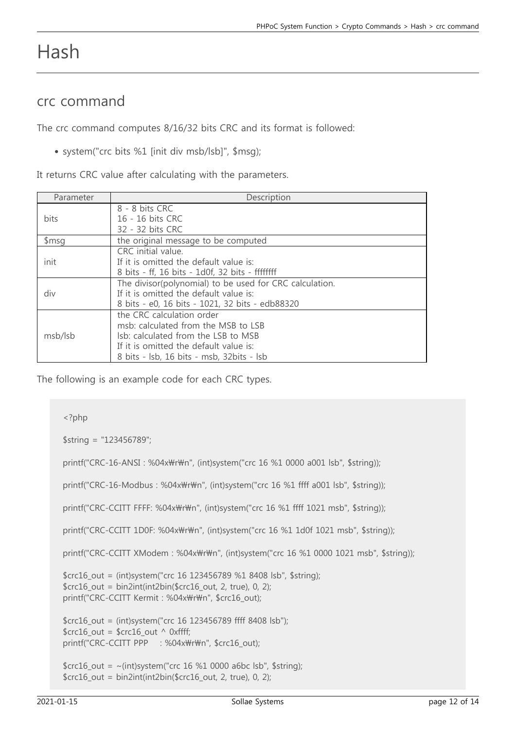### Hash

### crc command

The crc command computes 8/16/32 bits CRC and its format is followed:

system("crc bits %1 [init div msb/lsb]", \$msg);

It returns CRC value after calculating with the parameters.

| Parameter | Description                                                                                                                                                                                    |
|-----------|------------------------------------------------------------------------------------------------------------------------------------------------------------------------------------------------|
| bits      | 8 - 8 bits CRC<br>16 - 16 bits CRC<br>32 - 32 bits CRC                                                                                                                                         |
| \$msg     | the original message to be computed                                                                                                                                                            |
| init      | CRC initial value.<br>If it is omitted the default value is:<br>8 bits - ff, 16 bits - 1d0f, 32 bits - ffffffff                                                                                |
| div       | The divisor(polynomial) to be used for CRC calculation.<br>If it is omitted the default value is:<br>8 bits - e0, 16 bits - 1021, 32 bits - edb88320                                           |
| msb/lsb   | the CRC calculation order<br>msb: calculated from the MSB to LSB<br>Isb: calculated from the LSB to MSB<br>If it is omitted the default value is:<br>8 bits - Isb, 16 bits - msb, 32bits - Isb |

The following is an example code for each CRC types.

```
<?php
$string = "123456789";
printf("CRC-16-ANSI: %04x\r\n", (int)system("crc 16 %1 0000 a001 lsb", $string));
printf("CRC-16-Modbus : %04x\r\n", (int)system("crc 16 %1 ffff a001 lsb", $string));
printf("CRC-CCITT FFFF: %04x\r\n", (int)system("crc 16 %1 ffff 1021 msb", $string));
printf("CRC-CCITT 1D0F: %04x\r\n", (int)system("crc 16 %1 1d0f 1021 msb", $string));
printf("CRC-CCITT XModem : %04x\r\n", (int)system("crc 16 %1 0000 1021 msb", $string));
$crc16_out = (int)system("crc 16 123456789 %1 8408 lsb", $string);
$crc16_out = bin2int(int2bin($crc16_out, 2, true), 0, 2);printf("CRC-CCITT Kermit : %04x\r\n", $crc16_out);
$crc16_out = (int)system("crc 16 123456789 ffff 8408 lsb");
$crc16 out = $crc16 out ^ 0xffff;
printf("CRC-CCITT PPP : %04x\r\n", $crc16_out);
$crc16 out = ~(int)system("crc 16 %1 0000 a6bc lsb", $string);
$crc16_out = bin2int(int2bin($crc16_out, 2, true), 0, 2);
```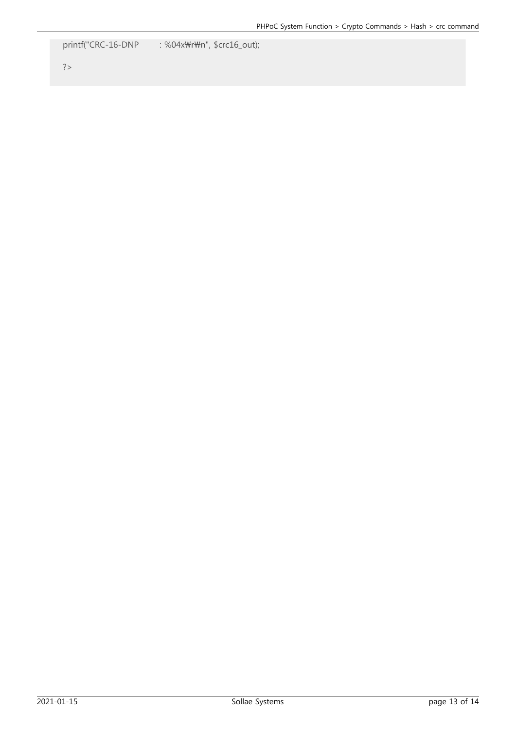printf("CRC-16-DNP : %04x\r\n", \$crc16\_out);

#### ?>